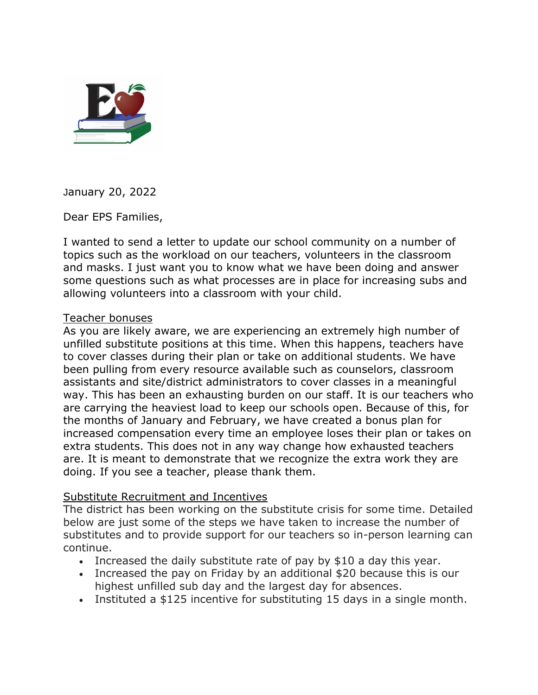

January 20, 2022

Dear EPS Families,

I wanted to send a letter to update our school community on a number of topics such as the workload on our teachers, volunteers in the classroom and masks. I just want you to know what we have been doing and answer some questions such as what processes are in place for increasing subs and allowing volunteers into a classroom with your child.

## Teacher bonuses

As you are likely aware, we are experiencing an extremely high number of unfilled substitute positions at this time. When this happens, teachers have to cover classes during their plan or take on additional students. We have been pulling from every resource available such as counselors, classroom assistants and site/district administrators to cover classes in a meaningful way. This has been an exhausting burden on our staff. It is our teachers who are carrying the heaviest load to keep our schools open. Because of this, for the months of January and February, we have created a bonus plan for increased compensation every time an employee loses their plan or takes on extra students. This does not in any way change how exhausted teachers are. It is meant to demonstrate that we recognize the extra work they are doing. If you see a teacher, please thank them.

## Substitute Recruitment and Incentives

The district has been working on the substitute crisis for some time. Detailed below are just some of the steps we have taken to increase the number of substitutes and to provide support for our teachers so in-person learning can continue.

- Increased the daily substitute rate of pay by \$10 a day this year.
- Increased the pay on Friday by an additional \$20 because this is our highest unfilled sub day and the largest day for absences.
- Instituted a \$125 incentive for substituting 15 days in a single month.